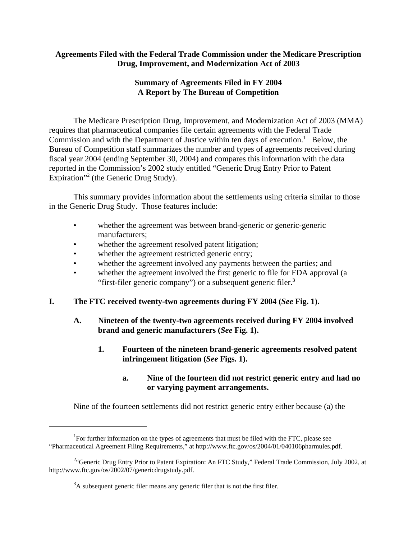# **Agreements Filed with the Federal Trade Commission under the Medicare Prescription Drug, Improvement, and Modernization Act of 2003**

# **Summary of Agreements Filed in FY 2004 A Report by The Bureau of Competition**

The Medicare Prescription Drug, Improvement, and Modernization Act of 2003 (MMA) requires that pharmaceutical companies file certain agreements with the Federal Trade Commission and with the Department of Justice within ten days of execution.<sup>1</sup> Below, the Bureau of Competition staff summarizes the number and types of agreements received during fiscal year 2004 (ending September 30, 2004) and compares this information with the data reported in the Commission's 2002 study entitled "Generic Drug Entry Prior to Patent Expiration"<sup>2</sup> (the Generic Drug Study).

This summary provides information about the settlements using criteria similar to those in the Generic Drug Study. Those features include:

- whether the agreement was between brand-generic or generic-generic manufacturers;
- whether the agreement resolved patent litigation;
- whether the agreement restricted generic entry;
- whether the agreement involved any payments between the parties; and
- whether the agreement involved the first generic to file for FDA approval (a "first-filer generic company") or a subsequent generic filer.**<sup>3</sup>**
- **I. The FTC received twenty-two agreements during FY 2004 (***See* **Fig. 1).**
	- **A. Nineteen of the twenty-two agreements received during FY 2004 involved brand and generic manufacturers (***See* **Fig. 1).**
		- **1. Fourteen of the nineteen brand-generic agreements resolved patent infringement litigation (***See* **Figs. 1).**
			- **a. Nine of the fourteen did not restrict generic entry and had no or varying payment arrangements.**

Nine of the fourteen settlements did not restrict generic entry either because (a) the

<sup>&</sup>lt;sup>1</sup>For further information on the types of agreements that must be filed with the FTC, please see "Pharmaceutical Agreement Filing Requirements," at http://www.ftc.gov/os/2004/01/040106pharmules.pdf.

<sup>&</sup>lt;sup>2.</sup> Generic Drug Entry Prior to Patent Expiration: An FTC Study," Federal Trade Commission, July 2002, at http://www.ftc.gov/os/2002/07/genericdrugstudy.pdf.

 $3A$  subsequent generic filer means any generic filer that is not the first filer.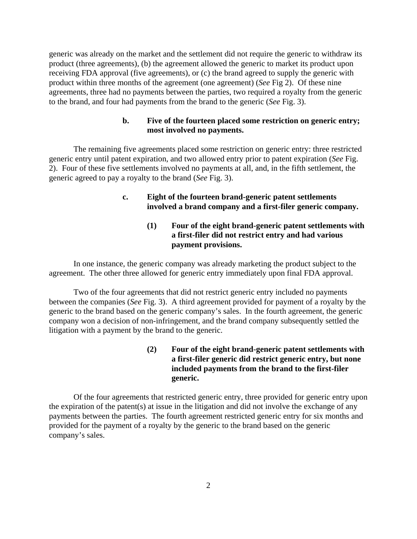generic was already on the market and the settlement did not require the generic to withdraw its product (three agreements), (b) the agreement allowed the generic to market its product upon receiving FDA approval (five agreements), or (c) the brand agreed to supply the generic with product within three months of the agreement (one agreement) (*See* Fig 2). Of these nine agreements, three had no payments between the parties, two required a royalty from the generic to the brand, and four had payments from the brand to the generic (*See* Fig. 3).

#### **b. Five of the fourteen placed some restriction on generic entry; most involved no payments.**

The remaining five agreements placed some restriction on generic entry: three restricted generic entry until patent expiration, and two allowed entry prior to patent expiration (*See* Fig. 2). Four of these five settlements involved no payments at all, and, in the fifth settlement, the generic agreed to pay a royalty to the brand (*See* Fig. 3).

### **c. Eight of the fourteen brand-generic patent settlements involved a brand company and a first-filer generic company.**

# **(1) Four of the eight brand-generic patent settlements with a first-filer did not restrict entry and had various payment provisions.**

In one instance, the generic company was already marketing the product subject to the agreement. The other three allowed for generic entry immediately upon final FDA approval.

Two of the four agreements that did not restrict generic entry included no payments between the companies (*See* Fig. 3). A third agreement provided for payment of a royalty by the generic to the brand based on the generic company's sales. In the fourth agreement, the generic company won a decision of non-infringement, and the brand company subsequently settled the litigation with a payment by the brand to the generic.

# **(2) Four of the eight brand-generic patent settlements with a first-filer generic did restrict generic entry, but none included payments from the brand to the first-filer generic.**

Of the four agreements that restricted generic entry, three provided for generic entry upon the expiration of the patent(s) at issue in the litigation and did not involve the exchange of any payments between the parties. The fourth agreement restricted generic entry for six months and provided for the payment of a royalty by the generic to the brand based on the generic company's sales.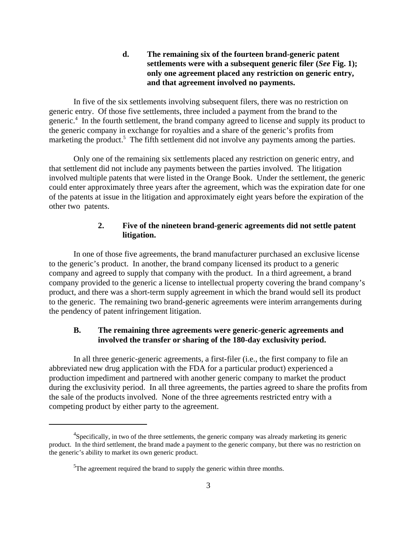### **d. The remaining six of the fourteen brand-generic patent settlements were with a subsequent generic filer (***See* **Fig. 1); only one agreement placed any restriction on generic entry, and that agreement involved no payments.**

In five of the six settlements involving subsequent filers, there was no restriction on generic entry. Of those five settlements, three included a payment from the brand to the generic.<sup>4</sup> In the fourth settlement, the brand company agreed to license and supply its product to the generic company in exchange for royalties and a share of the generic's profits from marketing the product.<sup>5</sup> The fifth settlement did not involve any payments among the parties.

Only one of the remaining six settlements placed any restriction on generic entry, and that settlement did not include any payments between the parties involved. The litigation involved multiple patents that were listed in the Orange Book. Under the settlement, the generic could enter approximately three years after the agreement, which was the expiration date for one of the patents at issue in the litigation and approximately eight years before the expiration of the other two patents.

# **2. Five of the nineteen brand-generic agreements did not settle patent litigation.**

In one of those five agreements, the brand manufacturer purchased an exclusive license to the generic's product. In another, the brand company licensed its product to a generic company and agreed to supply that company with the product. In a third agreement, a brand company provided to the generic a license to intellectual property covering the brand company's product, and there was a short-term supply agreement in which the brand would sell its product to the generic. The remaining two brand-generic agreements were interim arrangements during the pendency of patent infringement litigation.

#### **B. The remaining three agreements were generic-generic agreements and involved the transfer or sharing of the 180-day exclusivity period.**

In all three generic-generic agreements, a first-filer (i.e., the first company to file an abbreviated new drug application with the FDA for a particular product) experienced a production impediment and partnered with another generic company to market the product during the exclusivity period. In all three agreements, the parties agreed to share the profits from the sale of the products involved. None of the three agreements restricted entry with a competing product by either party to the agreement.

<sup>&</sup>lt;sup>4</sup>Specifically, in two of the three settlements, the generic company was already marketing its generic product. In the third settlement, the brand made a payment to the generic company, but there was no restriction on the generic's ability to market its own generic product.

 $5$ The agreement required the brand to supply the generic within three months.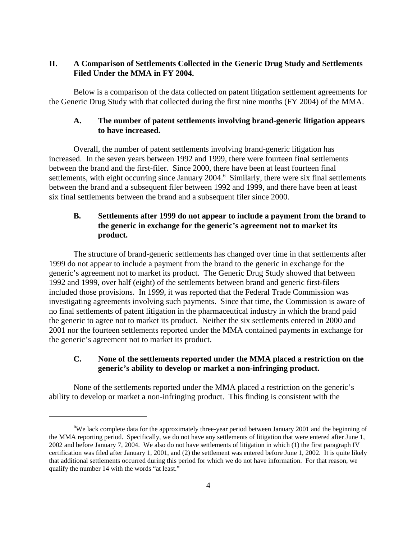# **II. A Comparison of Settlements Collected in the Generic Drug Study and Settlements Filed Under the MMA in FY 2004.**

Below is a comparison of the data collected on patent litigation settlement agreements for the Generic Drug Study with that collected during the first nine months (FY 2004) of the MMA.

#### **A. The number of patent settlements involving brand-generic litigation appears to have increased.**

Overall, the number of patent settlements involving brand-generic litigation has increased. In the seven years between 1992 and 1999, there were fourteen final settlements between the brand and the first-filer. Since 2000, there have been at least fourteen final settlements, with eight occurring since January 2004.<sup>6</sup> Similarly, there were six final settlements between the brand and a subsequent filer between 1992 and 1999, and there have been at least six final settlements between the brand and a subsequent filer since 2000.

# **B. Settlements after 1999 do not appear to include a payment from the brand to the generic in exchange for the generic's agreement not to market its product.**

The structure of brand-generic settlements has changed over time in that settlements after 1999 do not appear to include a payment from the brand to the generic in exchange for the generic's agreement not to market its product. The Generic Drug Study showed that between 1992 and 1999, over half (eight) of the settlements between brand and generic first-filers included those provisions. In 1999, it was reported that the Federal Trade Commission was investigating agreements involving such payments. Since that time, the Commission is aware of no final settlements of patent litigation in the pharmaceutical industry in which the brand paid the generic to agree not to market its product. Neither the six settlements entered in 2000 and 2001 nor the fourteen settlements reported under the MMA contained payments in exchange for the generic's agreement not to market its product.

# **C. None of the settlements reported under the MMA placed a restriction on the generic's ability to develop or market a non-infringing product.**

None of the settlements reported under the MMA placed a restriction on the generic's ability to develop or market a non-infringing product. This finding is consistent with the

<sup>&</sup>lt;sup>6</sup>We lack complete data for the approximately three-year period between January 2001 and the beginning of the MMA reporting period. Specifically, we do not have any settlements of litigation that were entered after June 1, 2002 and before January 7, 2004. We also do not have settlements of litigation in which (1) the first paragraph IV certification was filed after January 1, 2001, and (2) the settlement was entered before June 1, 2002. It is quite likely that additional settlements occurred during this period for which we do not have information. For that reason, we qualify the number 14 with the words "at least."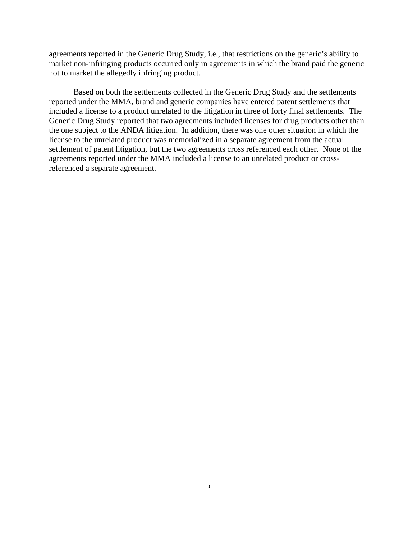agreements reported in the Generic Drug Study, i.e., that restrictions on the generic's ability to market non-infringing products occurred only in agreements in which the brand paid the generic not to market the allegedly infringing product.

Based on both the settlements collected in the Generic Drug Study and the settlements reported under the MMA, brand and generic companies have entered patent settlements that included a license to a product unrelated to the litigation in three of forty final settlements. The Generic Drug Study reported that two agreements included licenses for drug products other than the one subject to the ANDA litigation. In addition, there was one other situation in which the license to the unrelated product was memorialized in a separate agreement from the actual settlement of patent litigation, but the two agreements cross referenced each other. None of the agreements reported under the MMA included a license to an unrelated product or crossreferenced a separate agreement.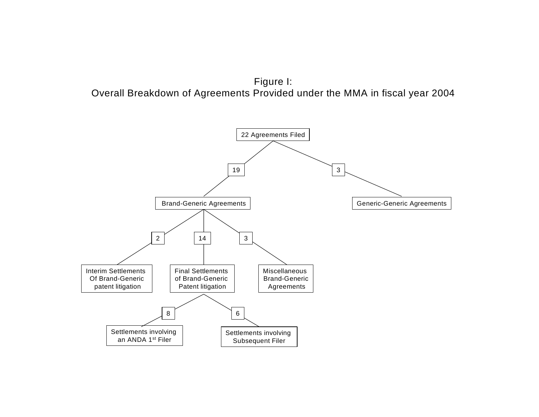

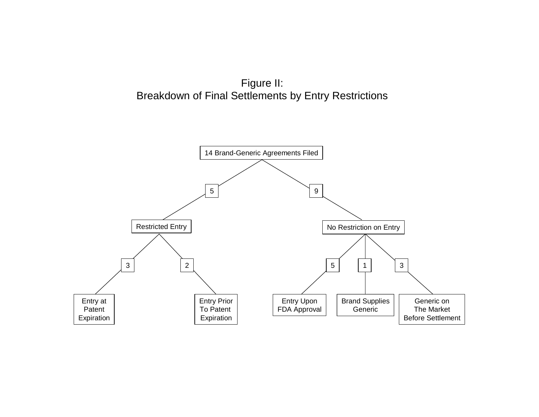